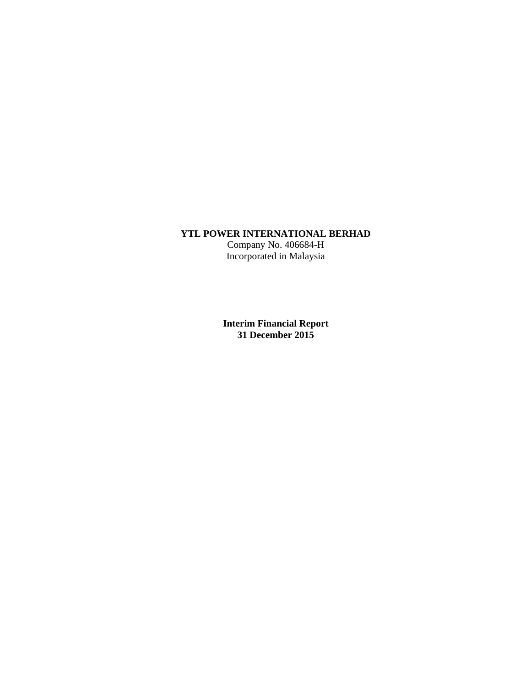# **YTL POWER INTERNATIONAL BERHAD**

Company No. 406684-H Incorporated in Malaysia

**Interim Financial Report 31 December 2015**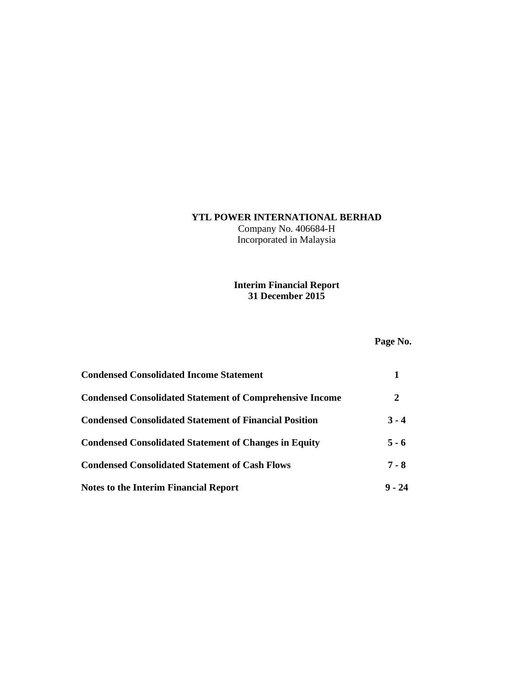## **YTL POWER INTERNATIONAL BERHAD**

Company No. 406684-H Incorporated in Malaysia

### **Interim Financial Report 31 December 2015**

# **Page No.**

| <b>Condensed Consolidated Income Statement</b>                  |          |
|-----------------------------------------------------------------|----------|
| <b>Condensed Consolidated Statement of Comprehensive Income</b> | 2        |
| <b>Condensed Consolidated Statement of Financial Position</b>   | $3 - 4$  |
| <b>Condensed Consolidated Statement of Changes in Equity</b>    | $5 - 6$  |
| <b>Condensed Consolidated Statement of Cash Flows</b>           | $7 - 8$  |
| <b>Notes to the Interim Financial Report</b>                    | $9 - 24$ |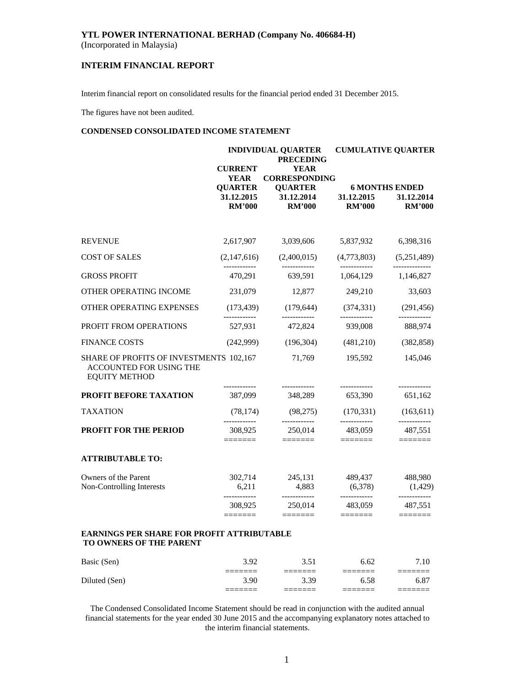(Incorporated in Malaysia)

### **INTERIM FINANCIAL REPORT**

Interim financial report on consolidated results for the financial period ended 31 December 2015.

The figures have not been audited.

#### **CONDENSED CONSOLIDATED INCOME STATEMENT**

|                                                                                            | <b>CURRENT</b>                                               | <b>INDIVIDUAL QUARTER</b><br><b>PRECEDING</b><br><b>YEAR</b>                                                                                                                                                                                                                                                                                                                                                                                                                                                                                                                          |                                                    | <b>CUMULATIVE QUARTER</b>                            |
|--------------------------------------------------------------------------------------------|--------------------------------------------------------------|---------------------------------------------------------------------------------------------------------------------------------------------------------------------------------------------------------------------------------------------------------------------------------------------------------------------------------------------------------------------------------------------------------------------------------------------------------------------------------------------------------------------------------------------------------------------------------------|----------------------------------------------------|------------------------------------------------------|
|                                                                                            | <b>YEAR</b><br><b>QUARTER</b><br>31.12.2015<br><b>RM'000</b> | <b>CORRESPONDING</b><br><b>QUARTER</b><br>31.12.2014<br><b>RM'000</b>                                                                                                                                                                                                                                                                                                                                                                                                                                                                                                                 | 31.12.2015<br><b>RM'000</b>                        | <b>6 MONTHS ENDED</b><br>31.12.2014<br><b>RM'000</b> |
| <b>REVENUE</b>                                                                             | 2,617,907                                                    | 3,039,606                                                                                                                                                                                                                                                                                                                                                                                                                                                                                                                                                                             | 5,837,932                                          | 6,398,316                                            |
| <b>COST OF SALES</b>                                                                       | (2,147,616)                                                  | (2,400,015)                                                                                                                                                                                                                                                                                                                                                                                                                                                                                                                                                                           | (4,773,803)                                        | (5,251,489)                                          |
| <b>GROSS PROFIT</b>                                                                        | 470,291                                                      | 639,591                                                                                                                                                                                                                                                                                                                                                                                                                                                                                                                                                                               | 1,064,129                                          | 1,146,827                                            |
| OTHER OPERATING INCOME                                                                     | 231,079                                                      | 12,877                                                                                                                                                                                                                                                                                                                                                                                                                                                                                                                                                                                | 249,210                                            | 33,603                                               |
| OTHER OPERATING EXPENSES                                                                   | (173, 439)                                                   | (179, 644)                                                                                                                                                                                                                                                                                                                                                                                                                                                                                                                                                                            | (374, 331)                                         | (291, 456)                                           |
| PROFIT FROM OPERATIONS                                                                     | ------------<br>527,931                                      | ------------<br>472,824                                                                                                                                                                                                                                                                                                                                                                                                                                                                                                                                                               | 939,008                                            | -------------<br>888,974                             |
| <b>FINANCE COSTS</b>                                                                       | (242,999)                                                    | (196, 304)                                                                                                                                                                                                                                                                                                                                                                                                                                                                                                                                                                            | (481,210)                                          | (382, 858)                                           |
| SHARE OF PROFITS OF INVESTMENTS 102,167<br>ACCOUNTED FOR USING THE<br><b>EQUITY METHOD</b> |                                                              | 71,769                                                                                                                                                                                                                                                                                                                                                                                                                                                                                                                                                                                | 195,592                                            | 145,046                                              |
| PROFIT BEFORE TAXATION                                                                     | ------------<br>387,099                                      | ------------<br>348,289                                                                                                                                                                                                                                                                                                                                                                                                                                                                                                                                                               | ------------<br>653,390                            | ------------<br>651,162                              |
| <b>TAXATION</b>                                                                            | (78, 174)                                                    | (98, 275)                                                                                                                                                                                                                                                                                                                                                                                                                                                                                                                                                                             | (170, 331)                                         | (163, 611)                                           |
| <b>PROFIT FOR THE PERIOD</b>                                                               | 308,925<br>$=$ $=$ $=$ $=$ $=$ $=$                           | ------------<br>250,014<br>$\begin{tabular}{ll} \multicolumn{3}{l}{{\color{red}\boldsymbol{=}}} & \multicolumn{3}{l}{\color{blue}\boldsymbol{=}} & \multicolumn{3}{l}{\color{blue}\boldsymbol{=}} & \multicolumn{3}{l}{\color{blue}\boldsymbol{=}} & \multicolumn{3}{l}{\color{blue}\boldsymbol{=}} & \multicolumn{3}{l}{\color{blue}\boldsymbol{=}} & \multicolumn{3}{l}{\color{blue}\boldsymbol{=}} & \multicolumn{3}{l}{\color{blue}\boldsymbol{=}} & \multicolumn{3}{l}{\color{blue}\boldsymbol{=}} & \multicolumn{3}{l}{\color{blue}\boldsymbol{=}} & \multicolumn{3}{l}{\color$ | ------------<br>483,059                            | ____________<br>487,551<br>=======                   |
| <b>ATTRIBUTABLE TO:</b>                                                                    |                                                              |                                                                                                                                                                                                                                                                                                                                                                                                                                                                                                                                                                                       |                                                    |                                                      |
| Owners of the Parent<br>Non-Controlling Interests                                          | 302,714<br>6,211                                             | 245,131<br>4,883                                                                                                                                                                                                                                                                                                                                                                                                                                                                                                                                                                      | 489,437<br>(6,378)                                 | 488,980<br>(1,429)                                   |
|                                                                                            | ------------<br>308,925<br>$=$ $=$ $=$ $=$ $=$ $=$           | ------------<br>250,014<br>$=$ $=$ $=$ $=$ $=$ $=$                                                                                                                                                                                                                                                                                                                                                                                                                                                                                                                                    | ------------<br>483,059<br>$=$ $=$ $=$ $=$ $=$ $=$ | ------------<br>487,551                              |
| <b>EARNINGS PER SHARE FOR PROFIT ATTRIBUTABLE</b><br><b>TO OWNERS OF THE PARENT</b>        |                                                              |                                                                                                                                                                                                                                                                                                                                                                                                                                                                                                                                                                                       |                                                    |                                                      |
| Basic (Sen)                                                                                | 3.92                                                         | 3.51                                                                                                                                                                                                                                                                                                                                                                                                                                                                                                                                                                                  | 6.62                                               | 7.10                                                 |
| Diluted (Sen)                                                                              | ======<br>3.90                                               | =======<br>3.39                                                                                                                                                                                                                                                                                                                                                                                                                                                                                                                                                                       | ———————<br>6.58                                    | 6.87                                                 |

The Condensed Consolidated Income Statement should be read in conjunction with the audited annual financial statements for the year ended 30 June 2015 and the accompanying explanatory notes attached to the interim financial statements.

======= ======= ======= =======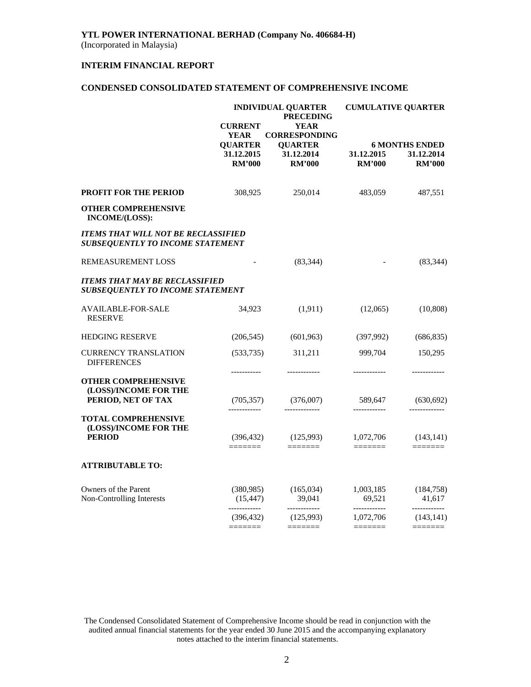### **INTERIM FINANCIAL REPORT**

### **CONDENSED CONSOLIDATED STATEMENT OF COMPREHENSIVE INCOME**

|                                                                                       |                                                                                                                                                                                                                                                                                                                                                                                                                                                                                               | <b>INDIVIDUAL QUARTER</b><br><b>PRECEDING</b>                                                                                                                                                                                                                                                                                                                                                                                                                                                                                                              | <b>CUMULATIVE QUARTER</b>                                                                                                                                                                                                                                                                                                                                                                                                                                                                                                                                                                   |                                                                                                                                                                                                                                                                                                                                                                                                                                                                                                                                                                                             |  |
|---------------------------------------------------------------------------------------|-----------------------------------------------------------------------------------------------------------------------------------------------------------------------------------------------------------------------------------------------------------------------------------------------------------------------------------------------------------------------------------------------------------------------------------------------------------------------------------------------|------------------------------------------------------------------------------------------------------------------------------------------------------------------------------------------------------------------------------------------------------------------------------------------------------------------------------------------------------------------------------------------------------------------------------------------------------------------------------------------------------------------------------------------------------------|---------------------------------------------------------------------------------------------------------------------------------------------------------------------------------------------------------------------------------------------------------------------------------------------------------------------------------------------------------------------------------------------------------------------------------------------------------------------------------------------------------------------------------------------------------------------------------------------|---------------------------------------------------------------------------------------------------------------------------------------------------------------------------------------------------------------------------------------------------------------------------------------------------------------------------------------------------------------------------------------------------------------------------------------------------------------------------------------------------------------------------------------------------------------------------------------------|--|
|                                                                                       | <b>CURRENT</b><br><b>YEAR</b><br><b>QUARTER</b><br>31.12.2015<br><b>RM'000</b>                                                                                                                                                                                                                                                                                                                                                                                                                | <b>YEAR</b><br><b>CORRESPONDING</b><br><b>QUARTER</b><br>31.12.2014<br><b>RM'000</b>                                                                                                                                                                                                                                                                                                                                                                                                                                                                       | 31.12.2015<br><b>RM'000</b>                                                                                                                                                                                                                                                                                                                                                                                                                                                                                                                                                                 | <b>6 MONTHS ENDED</b><br>31.12.2014<br><b>RM'000</b>                                                                                                                                                                                                                                                                                                                                                                                                                                                                                                                                        |  |
| PROFIT FOR THE PERIOD                                                                 | 308,925                                                                                                                                                                                                                                                                                                                                                                                                                                                                                       | 250,014                                                                                                                                                                                                                                                                                                                                                                                                                                                                                                                                                    | 483,059                                                                                                                                                                                                                                                                                                                                                                                                                                                                                                                                                                                     | 487,551                                                                                                                                                                                                                                                                                                                                                                                                                                                                                                                                                                                     |  |
| <b>OTHER COMPREHENSIVE</b><br>INCOME/(LOSS):                                          |                                                                                                                                                                                                                                                                                                                                                                                                                                                                                               |                                                                                                                                                                                                                                                                                                                                                                                                                                                                                                                                                            |                                                                                                                                                                                                                                                                                                                                                                                                                                                                                                                                                                                             |                                                                                                                                                                                                                                                                                                                                                                                                                                                                                                                                                                                             |  |
| <b>ITEMS THAT WILL NOT BE RECLASSIFIED</b><br><b>SUBSEQUENTLY TO INCOME STATEMENT</b> |                                                                                                                                                                                                                                                                                                                                                                                                                                                                                               |                                                                                                                                                                                                                                                                                                                                                                                                                                                                                                                                                            |                                                                                                                                                                                                                                                                                                                                                                                                                                                                                                                                                                                             |                                                                                                                                                                                                                                                                                                                                                                                                                                                                                                                                                                                             |  |
| <b>REMEASUREMENT LOSS</b>                                                             | $\overline{\phantom{a}}$                                                                                                                                                                                                                                                                                                                                                                                                                                                                      | (83, 344)                                                                                                                                                                                                                                                                                                                                                                                                                                                                                                                                                  |                                                                                                                                                                                                                                                                                                                                                                                                                                                                                                                                                                                             | (83, 344)                                                                                                                                                                                                                                                                                                                                                                                                                                                                                                                                                                                   |  |
| <b>ITEMS THAT MAY BE RECLASSIFIED</b><br><b>SUBSEQUENTLY TO INCOME STATEMENT</b>      |                                                                                                                                                                                                                                                                                                                                                                                                                                                                                               |                                                                                                                                                                                                                                                                                                                                                                                                                                                                                                                                                            |                                                                                                                                                                                                                                                                                                                                                                                                                                                                                                                                                                                             |                                                                                                                                                                                                                                                                                                                                                                                                                                                                                                                                                                                             |  |
| AVAILABLE-FOR-SALE<br><b>RESERVE</b>                                                  | 34,923                                                                                                                                                                                                                                                                                                                                                                                                                                                                                        | (1, 911)                                                                                                                                                                                                                                                                                                                                                                                                                                                                                                                                                   | (12,065)                                                                                                                                                                                                                                                                                                                                                                                                                                                                                                                                                                                    | (10, 808)                                                                                                                                                                                                                                                                                                                                                                                                                                                                                                                                                                                   |  |
| <b>HEDGING RESERVE</b>                                                                | (206, 545)                                                                                                                                                                                                                                                                                                                                                                                                                                                                                    | (601, 963)                                                                                                                                                                                                                                                                                                                                                                                                                                                                                                                                                 | (397,992)                                                                                                                                                                                                                                                                                                                                                                                                                                                                                                                                                                                   | (686, 835)                                                                                                                                                                                                                                                                                                                                                                                                                                                                                                                                                                                  |  |
| <b>CURRENCY TRANSLATION</b><br><b>DIFFERENCES</b>                                     | (533, 735)<br>-----------                                                                                                                                                                                                                                                                                                                                                                                                                                                                     | 311,211<br>------------                                                                                                                                                                                                                                                                                                                                                                                                                                                                                                                                    | 999,704<br>------------                                                                                                                                                                                                                                                                                                                                                                                                                                                                                                                                                                     | 150,295<br>-------------                                                                                                                                                                                                                                                                                                                                                                                                                                                                                                                                                                    |  |
| <b>OTHER COMPREHENSIVE</b><br>(LOSS)/INCOME FOR THE<br>PERIOD, NET OF TAX             |                                                                                                                                                                                                                                                                                                                                                                                                                                                                                               | $(705,357)$ $(376,007)$                                                                                                                                                                                                                                                                                                                                                                                                                                                                                                                                    | 589,647                                                                                                                                                                                                                                                                                                                                                                                                                                                                                                                                                                                     | (630, 692)                                                                                                                                                                                                                                                                                                                                                                                                                                                                                                                                                                                  |  |
| <b>TOTAL COMPREHENSIVE</b><br>(LOSS)/INCOME FOR THE<br><b>PERIOD</b>                  | -------------                                                                                                                                                                                                                                                                                                                                                                                                                                                                                 | $(396, 432)$ $(125, 993)$                                                                                                                                                                                                                                                                                                                                                                                                                                                                                                                                  | ------------<br>$1,072,706$ $(143,141)$                                                                                                                                                                                                                                                                                                                                                                                                                                                                                                                                                     |                                                                                                                                                                                                                                                                                                                                                                                                                                                                                                                                                                                             |  |
| <b>ATTRIBUTABLE TO:</b>                                                               | =======                                                                                                                                                                                                                                                                                                                                                                                                                                                                                       | $\begin{tabular}{ll} \multicolumn{3}{l}{{\color{red}\boldsymbol{1}}} & \multicolumn{3}{l}{\color{blue}\boldsymbol{2}} & \multicolumn{3}{l}{\color{blue}\boldsymbol{3}} & \multicolumn{3}{l}{\color{blue}\boldsymbol{4}} & \multicolumn{3}{l}{\color{blue}\boldsymbol{5}} & \multicolumn{3}{l}{\color{blue}\boldsymbol{6}} & \multicolumn{3}{l}{\color{blue}\boldsymbol{5}} & \multicolumn{3}{l}{\color{blue}\boldsymbol{6}} & \multicolumn{3}{l}{\color{blue}\boldsymbol{7}} & \multicolumn{3}{l}{\color{blue}\boldsymbol{6}} & \multicolumn{3}{l}{\color$ | =======                                                                                                                                                                                                                                                                                                                                                                                                                                                                                                                                                                                     | $\begin{tabular}{ll} \multicolumn{3}{l}{{\color{red}\boldsymbol{3}}}\\ \multicolumn{3}{l}{\color{blue}\boldsymbol{3}}\\ \multicolumn{3}{l}{\color{blue}\boldsymbol{3}}\\ \multicolumn{3}{l}{\color{blue}\boldsymbol{3}}\\ \multicolumn{3}{l}{\color{blue}\boldsymbol{3}}\\ \multicolumn{3}{l}{\color{blue}\boldsymbol{3}}\\ \multicolumn{3}{l}{\color{blue}\boldsymbol{3}}\\ \multicolumn{3}{l}{\color{blue}\boldsymbol{3}}\\ \multicolumn{3}{l}{\color{blue}\boldsymbol{3}}\\ \multicolumn{3}{l}{\color{blue}\boldsymbol{3}}\\ \multicolumn{3}{l}{\color$                                  |  |
| Owners of the Parent<br>Non-Controlling Interests                                     | (380, 985)<br>(15, 447)                                                                                                                                                                                                                                                                                                                                                                                                                                                                       | (165, 034)<br>39,041                                                                                                                                                                                                                                                                                                                                                                                                                                                                                                                                       | 1,003,185<br>69,521                                                                                                                                                                                                                                                                                                                                                                                                                                                                                                                                                                         | (184, 758)<br>41,617                                                                                                                                                                                                                                                                                                                                                                                                                                                                                                                                                                        |  |
|                                                                                       | ------------<br>(396, 432)<br>$\begin{tabular}{ll} \multicolumn{3}{l}{{\color{blue}\textbf{1}}}\\[-2.0mm]{\color{blue}\textbf{2}}\\[-2.0mm]{\color{blue}\textbf{2}}\\[-2.0mm]{\color{blue}\textbf{3}}\\[-2.0mm]{\color{blue}\textbf{4}}\\[-2.0mm]{\color{blue}\textbf{4}}\\[-2.0mm]{\color{blue}\textbf{4}}\\[-2.0mm]{\color{blue}\textbf{4}}\\[-2.0mm]{\color{blue}\textbf{4}}\\[-2.0mm]{\color{blue}\textbf{4}}\\[-2.0mm]{\color{blue}\textbf{4}}\\[-2.0mm]{\color{blue}\textbf{4}}\\[-2.0$ | ------------<br>(125,993)                                                                                                                                                                                                                                                                                                                                                                                                                                                                                                                                  | ------------<br>1,072,706<br>$\begin{tabular}{ll} \multicolumn{3}{l}{{\color{red}\boldsymbol{z}}}= & \multicolumn{3}{l}{\color{blue}\boldsymbol{z}}=\multicolumn{3}{l}{\color{blue}\boldsymbol{z}}=\multicolumn{3}{l}{\color{blue}\boldsymbol{z}}=\multicolumn{3}{l}{\color{blue}\boldsymbol{z}}=\multicolumn{3}{l}{\color{blue}\boldsymbol{z}}=\multicolumn{3}{l}{\color{blue}\boldsymbol{z}}=\multicolumn{3}{l}{\color{blue}\boldsymbol{z}}=\multicolumn{3}{l}{\color{blue}\boldsymbol{z}}=\multicolumn{3}{l}{\color{blue}\boldsymbol{z}}=\multicolumn{3}{l}{\color{blue}\boldsymbol{z}}$ | ------------<br>(143, 141)<br>$\begin{tabular}{ll} \multicolumn{3}{l}{{\color{red}\boldsymbol{=}}} & \multicolumn{3}{l}{\color{blue}\boldsymbol{=}} & \multicolumn{3}{l}{\color{blue}\boldsymbol{=}} \\ \multicolumn{3}{l}{\color{blue}\boldsymbol{=}} & \multicolumn{3}{l}{\color{blue}\boldsymbol{=}} & \multicolumn{3}{l}{\color{blue}\boldsymbol{=}} \\ \multicolumn{3}{l}{\color{blue}\boldsymbol{=}} & \multicolumn{3}{l}{\color{blue}\boldsymbol{=}} & \multicolumn{3}{l}{\color{blue}\boldsymbol{=}} \\ \multicolumn{3}{l}{\color{blue}\boldsymbol{=}} & \multicolumn{3}{l}{\color$ |  |
|                                                                                       |                                                                                                                                                                                                                                                                                                                                                                                                                                                                                               |                                                                                                                                                                                                                                                                                                                                                                                                                                                                                                                                                            |                                                                                                                                                                                                                                                                                                                                                                                                                                                                                                                                                                                             |                                                                                                                                                                                                                                                                                                                                                                                                                                                                                                                                                                                             |  |

The Condensed Consolidated Statement of Comprehensive Income should be read in conjunction with the audited annual financial statements for the year ended 30 June 2015 and the accompanying explanatory notes attached to the interim financial statements.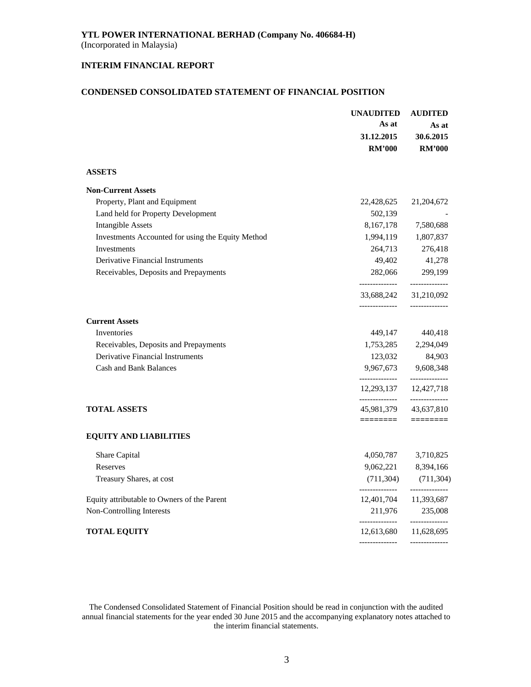### **INTERIM FINANCIAL REPORT**

### **CONDENSED CONSOLIDATED STATEMENT OF FINANCIAL POSITION**

|                                                   | <b>UNAUDITED</b>                                          | <b>AUDITED</b>                   |  |
|---------------------------------------------------|-----------------------------------------------------------|----------------------------------|--|
|                                                   | As at                                                     | As at                            |  |
|                                                   | 31.12.2015                                                | 30.6.2015                        |  |
|                                                   | <b>RM'000</b>                                             | <b>RM'000</b>                    |  |
| <b>ASSETS</b>                                     |                                                           |                                  |  |
| <b>Non-Current Assets</b>                         |                                                           |                                  |  |
| Property, Plant and Equipment                     | 22,428,625                                                | 21,204,672                       |  |
| Land held for Property Development                | 502,139                                                   |                                  |  |
| <b>Intangible Assets</b>                          | 8,167,178                                                 | 7,580,688                        |  |
| Investments Accounted for using the Equity Method | 1,994,119                                                 | 1,807,837                        |  |
| Investments                                       | 264,713                                                   | 276,418                          |  |
| <b>Derivative Financial Instruments</b>           | 49,402                                                    | 41,278                           |  |
| Receivables, Deposits and Prepayments             | 282,066                                                   | 299,199                          |  |
|                                                   | --------------<br>33,688,242 31,210,092<br>-------------- | --------------<br>-------------- |  |
| <b>Current Assets</b>                             |                                                           |                                  |  |
| Inventories                                       | 449,147                                                   | 440,418                          |  |
| Receivables, Deposits and Prepayments             | 1,753,285                                                 | 2,294,049                        |  |
| <b>Derivative Financial Instruments</b>           | 123,032                                                   | 84,903                           |  |
| <b>Cash and Bank Balances</b>                     | 9,967,673                                                 | 9,608,348                        |  |
|                                                   | --------------<br>12,293,137                              | --------------<br>12,427,718     |  |
| <b>TOTAL ASSETS</b>                               | --------------<br>45,981,379 43,637,810                   | --------------                   |  |
|                                                   | ========                                                  |                                  |  |
| <b>EQUITY AND LIABILITIES</b>                     |                                                           |                                  |  |
| Share Capital                                     | 4,050,787                                                 | 3,710,825                        |  |
| Reserves                                          | 9,062,221                                                 | 8,394,166                        |  |
| Treasury Shares, at cost                          | (711, 304)<br>--------------                              | (711, 304)<br>--------------     |  |
| Equity attributable to Owners of the Parent       | 12,401,704                                                | 11,393,687                       |  |
| Non-Controlling Interests                         | 211,976<br>--------------                                 | 235,008<br>-------------         |  |
| <b>TOTAL EQUITY</b>                               | 12,613,680                                                | 11,628,695                       |  |
|                                                   |                                                           | --------------                   |  |

The Condensed Consolidated Statement of Financial Position should be read in conjunction with the audited annual financial statements for the year ended 30 June 2015 and the accompanying explanatory notes attached to the interim financial statements.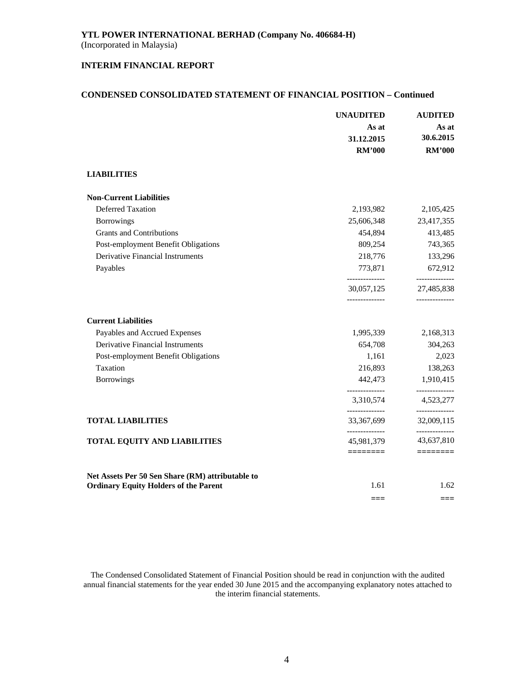### **INTERIM FINANCIAL REPORT**

#### **CONDENSED CONSOLIDATED STATEMENT OF FINANCIAL POSITION – Continued**

|                                                  | <b>UNAUDITED</b>             | <b>AUDITED</b>                                 |
|--------------------------------------------------|------------------------------|------------------------------------------------|
|                                                  | As at                        | As at                                          |
|                                                  | 31.12.2015                   | 30.6.2015                                      |
|                                                  | <b>RM'000</b>                | <b>RM'000</b>                                  |
| <b>LIABILITIES</b>                               |                              |                                                |
| <b>Non-Current Liabilities</b>                   |                              |                                                |
| <b>Deferred Taxation</b>                         | 2,193,982                    | 2,105,425                                      |
| <b>Borrowings</b>                                | 25,606,348                   | 23,417,355                                     |
| <b>Grants and Contributions</b>                  | 454,894                      | 413,485                                        |
| Post-employment Benefit Obligations              | 809,254                      | 743,365                                        |
| Derivative Financial Instruments                 | 218,776                      | 133,296                                        |
| Payables                                         | 773,871                      | 672,912                                        |
|                                                  | --------------<br>30,057,125 | --------------<br>27,485,838<br>-------------- |
| <b>Current Liabilities</b>                       |                              |                                                |
| Payables and Accrued Expenses                    | 1,995,339                    | 2,168,313                                      |
| <b>Derivative Financial Instruments</b>          | 654,708                      | 304,263                                        |
| Post-employment Benefit Obligations              | 1,161                        | 2,023                                          |
| Taxation                                         | 216,893                      | 138,263                                        |
| <b>Borrowings</b>                                | 442,473<br>--------------    | 1,910,415                                      |
|                                                  | 3,310,574                    | ----------<br>4,523,277                        |
| <b>TOTAL LIABILITIES</b>                         | --------------<br>33,367,699 | --------------<br>32,009,115                   |
| <b>TOTAL EQUITY AND LIABILITIES</b>              | --------------<br>45,981,379 | ------------<br>43,637,810                     |
|                                                  |                              | ========                                       |
| Net Assets Per 50 Sen Share (RM) attributable to |                              |                                                |
| <b>Ordinary Equity Holders of the Parent</b>     | 1.61                         | 1.62                                           |
|                                                  | $---$                        | $==$                                           |

The Condensed Consolidated Statement of Financial Position should be read in conjunction with the audited annual financial statements for the year ended 30 June 2015 and the accompanying explanatory notes attached to the interim financial statements.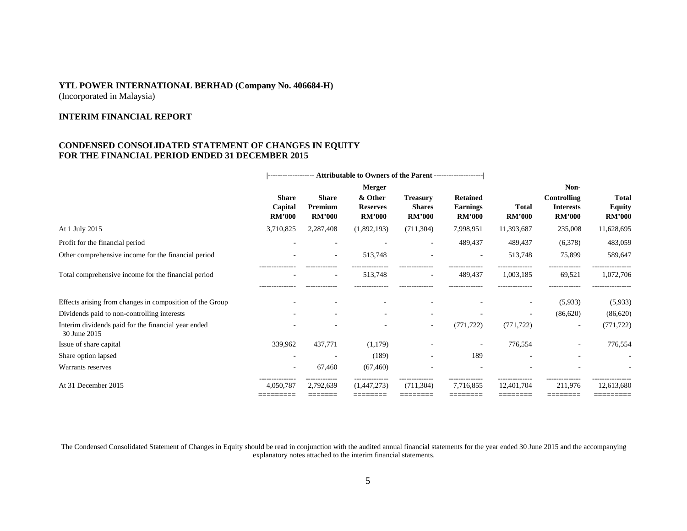### **YTL POWER INTERNATIONAL BERHAD (Company No. 406684-H)**  (Incorporated in Malaysia)

**INTERIM FINANCIAL REPORT**

### **CONDENSED CONSOLIDATED STATEMENT OF CHANGES IN EQUITY FOR THE FINANCIAL PERIOD ENDED 31 DECEMBER 2015**

|                                                                     |                                          | ------------------ Attributable to Owners of the Parent -------------------- |                                             |                                                   |                                                     |                               |                                                  |                                                |
|---------------------------------------------------------------------|------------------------------------------|------------------------------------------------------------------------------|---------------------------------------------|---------------------------------------------------|-----------------------------------------------------|-------------------------------|--------------------------------------------------|------------------------------------------------|
|                                                                     |                                          |                                                                              | Merger                                      |                                                   |                                                     | Non-                          |                                                  |                                                |
|                                                                     | <b>Share</b><br>Capital<br><b>RM'000</b> | <b>Share</b><br>Premium<br><b>RM'000</b>                                     | & Other<br><b>Reserves</b><br><b>RM'000</b> | <b>Treasury</b><br><b>Shares</b><br><b>RM'000</b> | <b>Retained</b><br><b>Earnings</b><br><b>RM'000</b> | <b>Total</b><br><b>RM'000</b> | Controlling<br><b>Interests</b><br><b>RM'000</b> | <b>Total</b><br><b>Equity</b><br><b>RM'000</b> |
| At 1 July 2015                                                      | 3,710,825                                | 2,287,408                                                                    | (1,892,193)                                 | (711, 304)                                        | 7,998,951                                           | 11,393,687                    | 235,008                                          | 11,628,695                                     |
| Profit for the financial period                                     |                                          |                                                                              |                                             |                                                   | 489,437                                             | 489,437                       | (6,378)                                          | 483,059                                        |
| Other comprehensive income for the financial period                 |                                          | $\overline{\phantom{a}}$                                                     | 513,748                                     |                                                   |                                                     | 513,748                       | 75,899                                           | 589,647                                        |
| Total comprehensive income for the financial period                 |                                          | $\overline{\phantom{a}}$                                                     | 513,748                                     | $\overline{\phantom{a}}$                          | 489,437                                             | 1,003,185                     | 69,521                                           | 1,072,706                                      |
| Effects arising from changes in composition of the Group            |                                          |                                                                              |                                             |                                                   |                                                     | $\overline{\phantom{a}}$      | (5,933)                                          | (5,933)                                        |
| Dividends paid to non-controlling interests                         |                                          |                                                                              |                                             |                                                   |                                                     | ۰                             | (86,620)                                         | (86,620)                                       |
| Interim dividends paid for the financial year ended<br>30 June 2015 |                                          |                                                                              |                                             | $\overline{\phantom{a}}$                          | (771, 722)                                          | (771, 722)                    |                                                  | (771, 722)                                     |
| Issue of share capital                                              | 339,962                                  | 437,771                                                                      | (1,179)                                     |                                                   |                                                     | 776,554                       |                                                  | 776,554                                        |
| Share option lapsed                                                 |                                          |                                                                              | (189)                                       |                                                   | 189                                                 |                               |                                                  |                                                |
| Warrants reserves                                                   |                                          | 67,460                                                                       | (67, 460)                                   |                                                   |                                                     |                               |                                                  |                                                |
| At 31 December 2015                                                 | 4,050,787<br>=========                   | 2,792,639<br>--------                                                        | (1,447,273)<br>---------                    | (711, 304)<br>========                            | 7.716.855<br>________                               | 12.401.704<br>_______         | 211,976<br>_______                               | 12,613,680<br>---------                        |
|                                                                     |                                          |                                                                              |                                             |                                                   |                                                     |                               |                                                  |                                                |

The Condensed Consolidated Statement of Changes in Equity should be read in conjunction with the audited annual financial statements for the year ended 30 June 2015 and the accompanying explanatory notes attached to the interim financial statements.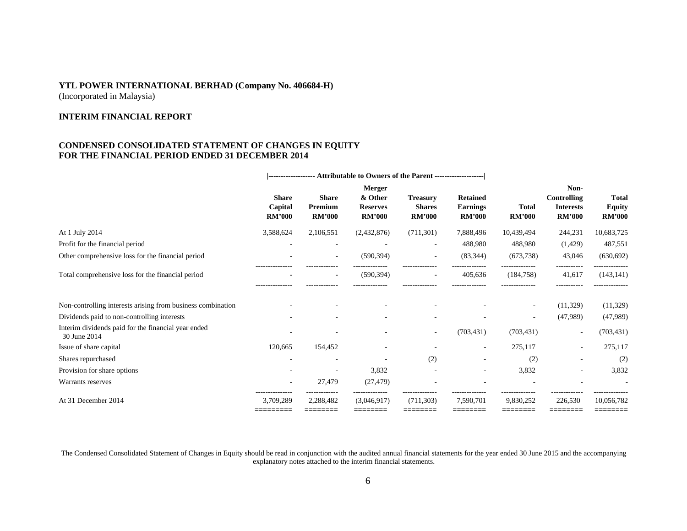(Incorporated in Malaysia)

#### **INTERIM FINANCIAL REPORT**

### **CONDENSED CONSOLIDATED STATEMENT OF CHANGES IN EQUITY FOR THE FINANCIAL PERIOD ENDED 31 DECEMBER 2014**

|                                                                     | <b>------------------ Attributable to Owners of the Parent -----------------------</b> |                                          |                                                       |                                                   |                                                     |                               |                                                                 |                                                |
|---------------------------------------------------------------------|----------------------------------------------------------------------------------------|------------------------------------------|-------------------------------------------------------|---------------------------------------------------|-----------------------------------------------------|-------------------------------|-----------------------------------------------------------------|------------------------------------------------|
|                                                                     | <b>Share</b><br>Capital<br><b>RM'000</b>                                               | <b>Share</b><br>Premium<br><b>RM'000</b> | Merger<br>& Other<br><b>Reserves</b><br><b>RM'000</b> | <b>Treasury</b><br><b>Shares</b><br><b>RM'000</b> | <b>Retained</b><br><b>Earnings</b><br><b>RM'000</b> | <b>Total</b><br><b>RM'000</b> | Non-<br><b>Controlling</b><br><b>Interests</b><br><b>RM'000</b> | <b>Total</b><br><b>Equity</b><br><b>RM'000</b> |
| At 1 July 2014                                                      | 3,588,624                                                                              | 2,106,551                                | (2,432,876)                                           | (711, 301)                                        | 7,888,496                                           | 10,439,494                    | 244,231                                                         | 10,683,725                                     |
| Profit for the financial period                                     |                                                                                        | ٠                                        |                                                       | $\overline{\phantom{a}}$                          | 488,980                                             | 488,980                       | (1,429)                                                         | 487,551                                        |
| Other comprehensive loss for the financial period                   |                                                                                        | $\overline{\phantom{a}}$                 | (590, 394)                                            | $\overline{\phantom{a}}$                          | (83, 344)                                           | (673, 738)                    | 43,046                                                          | (630, 692)                                     |
| Total comprehensive loss for the financial period                   |                                                                                        | $\overline{\phantom{a}}$                 | (590, 394)                                            |                                                   | 405,636                                             | (184, 758)                    | 41,617                                                          | (143, 141)                                     |
| Non-controlling interests arising from business combination         |                                                                                        |                                          |                                                       |                                                   |                                                     | $\overline{\phantom{a}}$      | (11,329)                                                        | (11,329)                                       |
| Dividends paid to non-controlling interests                         |                                                                                        |                                          |                                                       |                                                   |                                                     | ۰                             | (47,989)                                                        | (47,989)                                       |
| Interim dividends paid for the financial year ended<br>30 June 2014 |                                                                                        |                                          |                                                       |                                                   | (703, 431)                                          | (703, 431)                    | $\overline{\phantom{a}}$                                        | (703, 431)                                     |
| Issue of share capital                                              | 120,665                                                                                | 154,452                                  |                                                       |                                                   |                                                     | 275,117                       | $\overline{\phantom{a}}$                                        | 275,117                                        |
| Shares repurchased                                                  |                                                                                        |                                          |                                                       | (2)                                               |                                                     | (2)                           |                                                                 | (2)                                            |
| Provision for share options                                         |                                                                                        |                                          | 3,832                                                 |                                                   |                                                     | 3,832                         |                                                                 | 3,832                                          |
| Warrants reserves                                                   | ÷,                                                                                     | 27,479                                   | (27, 479)                                             |                                                   |                                                     |                               |                                                                 |                                                |
| At 31 December 2014                                                 | 3,709,289<br>=========                                                                 | 2,288,482<br>========                    | (3,046,917)<br>========                               | (711, 303)                                        | 7,590,701                                           | 9,830,252                     | 226,530<br>========                                             | 10,056,782<br>========                         |

The Condensed Consolidated Statement of Changes in Equity should be read in conjunction with the audited annual financial statements for the year ended 30 June 2015 and the accompanying explanatory notes attached to the interim financial statements.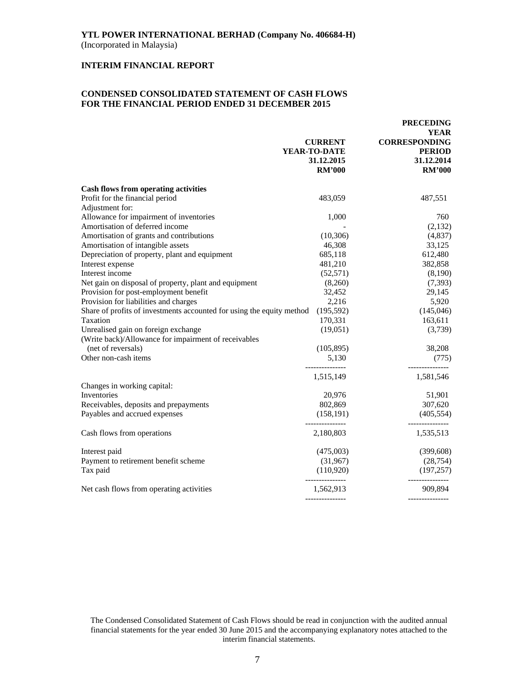#### **INTERIM FINANCIAL REPORT**

### **CONDENSED CONSOLIDATED STATEMENT OF CASH FLOWS FOR THE FINANCIAL PERIOD ENDED 31 DECEMBER 2015**

|                                                                       | <b>CURRENT</b><br>YEAR-TO-DATE<br>31.12.2015<br><b>RM'000</b> | <b>PRECEDING</b><br><b>YEAR</b><br><b>CORRESPONDING</b><br><b>PERIOD</b><br>31.12.2014<br><b>RM'000</b> |
|-----------------------------------------------------------------------|---------------------------------------------------------------|---------------------------------------------------------------------------------------------------------|
| <b>Cash flows from operating activities</b>                           |                                                               |                                                                                                         |
| Profit for the financial period                                       | 483,059                                                       | 487,551                                                                                                 |
| Adjustment for:                                                       |                                                               |                                                                                                         |
| Allowance for impairment of inventories                               | 1,000                                                         | 760                                                                                                     |
| Amortisation of deferred income                                       |                                                               | (2,132)                                                                                                 |
| Amortisation of grants and contributions                              | (10, 306)                                                     | (4,837)                                                                                                 |
| Amortisation of intangible assets                                     | 46,308                                                        | 33,125                                                                                                  |
| Depreciation of property, plant and equipment                         | 685,118                                                       | 612,480                                                                                                 |
| Interest expense                                                      | 481,210                                                       | 382,858                                                                                                 |
| Interest income                                                       | (52, 571)                                                     | (8,190)                                                                                                 |
| Net gain on disposal of property, plant and equipment                 | (8,260)                                                       | (7,393)                                                                                                 |
| Provision for post-employment benefit                                 | 32,452                                                        | 29,145                                                                                                  |
| Provision for liabilities and charges                                 | 2,216                                                         | 5,920                                                                                                   |
| Share of profits of investments accounted for using the equity method | (195, 592)                                                    | (145, 046)                                                                                              |
| Taxation                                                              | 170,331                                                       | 163,611                                                                                                 |
| Unrealised gain on foreign exchange                                   | (19,051)                                                      | (3,739)                                                                                                 |
| (Write back)/Allowance for impairment of receivables                  |                                                               |                                                                                                         |
| (net of reversals)                                                    | (105, 895)                                                    | 38,208                                                                                                  |
| Other non-cash items                                                  | 5,130                                                         | (775)                                                                                                   |
|                                                                       |                                                               |                                                                                                         |
|                                                                       | 1,515,149                                                     | 1,581,546                                                                                               |
| Changes in working capital:                                           |                                                               |                                                                                                         |
| Inventories                                                           | 20,976                                                        | 51,901                                                                                                  |
| Receivables, deposits and prepayments                                 | 802,869                                                       | 307,620                                                                                                 |
| Payables and accrued expenses                                         | (158, 191)                                                    | (405, 554)                                                                                              |
|                                                                       | ---------------                                               | --------------                                                                                          |
| Cash flows from operations                                            | 2,180,803                                                     | 1,535,513                                                                                               |
| Interest paid                                                         | (475,003)                                                     | (399, 608)                                                                                              |
| Payment to retirement benefit scheme                                  | (31,967)                                                      | (28, 754)                                                                                               |
| Tax paid                                                              | (110,920)                                                     | (197, 257)                                                                                              |
| Net cash flows from operating activities                              | 1,562,913                                                     | 909,894                                                                                                 |
|                                                                       |                                                               |                                                                                                         |

The Condensed Consolidated Statement of Cash Flows should be read in conjunction with the audited annual financial statements for the year ended 30 June 2015 and the accompanying explanatory notes attached to the interim financial statements.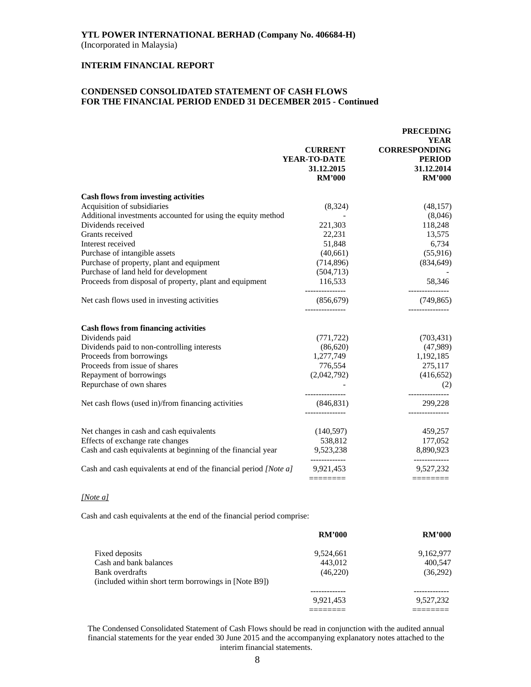### **INTERIM FINANCIAL REPORT**

### **CONDENSED CONSOLIDATED STATEMENT OF CASH FLOWS FOR THE FINANCIAL PERIOD ENDED 31 DECEMBER 2015 - Continued**

|                                                                          |                                                  | <b>PRECEDING</b>                                     |
|--------------------------------------------------------------------------|--------------------------------------------------|------------------------------------------------------|
|                                                                          | <b>CURRENT</b><br>YEAR-TO-DATE                   | <b>YEAR</b><br><b>CORRESPONDING</b><br><b>PERIOD</b> |
|                                                                          | 31.12.2015<br><b>RM'000</b>                      | 31.12.2014<br><b>RM'000</b>                          |
| <b>Cash flows from investing activities</b>                              |                                                  |                                                      |
| Acquisition of subsidiaries                                              | (8,324)                                          | (48, 157)                                            |
| Additional investments accounted for using the equity method             |                                                  | (8,046)                                              |
| Dividends received                                                       | 221,303                                          | 118,248                                              |
| Grants received                                                          | 22,231                                           | 13,575                                               |
| Interest received                                                        | 51,848                                           | 6,734                                                |
| Purchase of intangible assets                                            | (40, 661)                                        | (55,916)                                             |
| Purchase of property, plant and equipment                                | (714, 896)                                       | (834, 649)                                           |
| Purchase of land held for development                                    | (504, 713)                                       |                                                      |
| Proceeds from disposal of property, plant and equipment                  | 116,533                                          | 58,346                                               |
| Net cash flows used in investing activities                              | (856, 679)                                       | (749, 865)                                           |
| <b>Cash flows from financing activities</b>                              |                                                  |                                                      |
| Dividends paid                                                           | (771, 722)                                       | (703, 431)                                           |
| Dividends paid to non-controlling interests                              | (86,620)                                         | (47,989)                                             |
| Proceeds from borrowings                                                 | 1,277,749                                        | 1,192,185                                            |
| Proceeds from issue of shares                                            | 776,554                                          | 275,117                                              |
| Repayment of borrowings                                                  | (2,042,792)                                      | (416, 652)                                           |
| Repurchase of own shares                                                 |                                                  | (2)                                                  |
| Net cash flows (used in)/from financing activities                       | ---------------<br>(846, 831)<br>--------------- | ------------<br>299,228                              |
|                                                                          |                                                  |                                                      |
| Net changes in cash and cash equivalents                                 | (140, 597)                                       | 459,257                                              |
| Effects of exchange rate changes                                         | 538,812                                          | 177,052                                              |
| Cash and cash equivalents at beginning of the financial year             | 9,523,238<br>-------------                       | 8,890,923<br>-------------                           |
| Cash and cash equivalents at end of the financial period <i>[Note a]</i> | 9,921,453                                        | 9,527,232                                            |
|                                                                          | ========                                         |                                                      |

#### *[Note a]*

Cash and cash equivalents at the end of the financial period comprise:

|                                                      | <b>RM'000</b> | <b>RM'000</b> |
|------------------------------------------------------|---------------|---------------|
| Fixed deposits                                       | 9,524,661     | 9,162,977     |
| Cash and bank balances                               | 443.012       | 400.547       |
| Bank overdrafts                                      | (46,220)      | (36,292)      |
| (included within short term borrowings in [Note B9]) |               |               |
|                                                      |               |               |
|                                                      | 9.921.453     | 9,527,232     |
|                                                      |               |               |

The Condensed Consolidated Statement of Cash Flows should be read in conjunction with the audited annual financial statements for the year ended 30 June 2015 and the accompanying explanatory notes attached to the interim financial statements.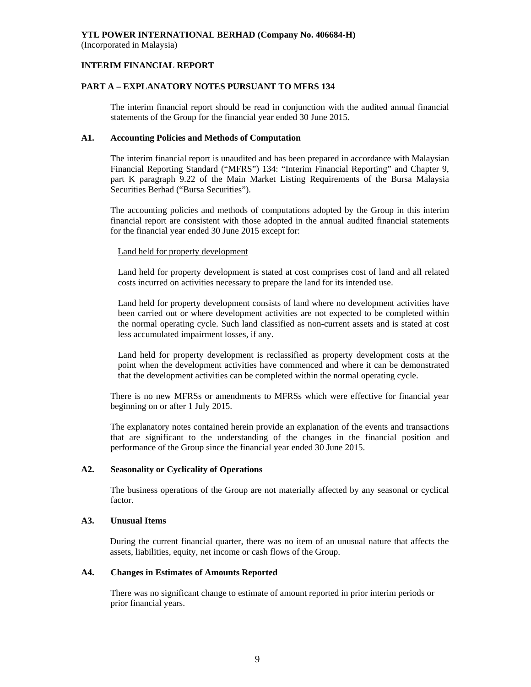### **INTERIM FINANCIAL REPORT**

### **PART A – EXPLANATORY NOTES PURSUANT TO MFRS 134**

The interim financial report should be read in conjunction with the audited annual financial statements of the Group for the financial year ended 30 June 2015.

### **A1. Accounting Policies and Methods of Computation**

The interim financial report is unaudited and has been prepared in accordance with Malaysian Financial Reporting Standard ("MFRS") 134: "Interim Financial Reporting" and Chapter 9, part K paragraph 9.22 of the Main Market Listing Requirements of the Bursa Malaysia Securities Berhad ("Bursa Securities").

The accounting policies and methods of computations adopted by the Group in this interim financial report are consistent with those adopted in the annual audited financial statements for the financial year ended 30 June 2015 except for:

### Land held for property development

Land held for property development is stated at cost comprises cost of land and all related costs incurred on activities necessary to prepare the land for its intended use.

Land held for property development consists of land where no development activities have been carried out or where development activities are not expected to be completed within the normal operating cycle. Such land classified as non-current assets and is stated at cost less accumulated impairment losses, if any.

Land held for property development is reclassified as property development costs at the point when the development activities have commenced and where it can be demonstrated that the development activities can be completed within the normal operating cycle.

There is no new MFRSs or amendments to MFRSs which were effective for financial year beginning on or after 1 July 2015.

The explanatory notes contained herein provide an explanation of the events and transactions that are significant to the understanding of the changes in the financial position and performance of the Group since the financial year ended 30 June 2015.

### **A2. Seasonality or Cyclicality of Operations**

 The business operations of the Group are not materially affected by any seasonal or cyclical factor.

### **A3. Unusual Items**

During the current financial quarter, there was no item of an unusual nature that affects the assets, liabilities, equity, net income or cash flows of the Group.

### **A4. Changes in Estimates of Amounts Reported**

 There was no significant change to estimate of amount reported in prior interim periods or prior financial years.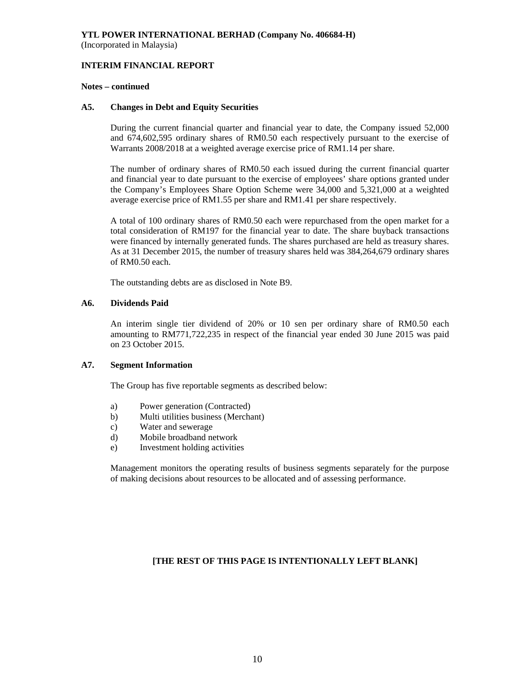#### **INTERIM FINANCIAL REPORT**

#### **Notes – continued**

#### **A5. Changes in Debt and Equity Securities**

 During the current financial quarter and financial year to date, the Company issued 52,000 and 674,602,595 ordinary shares of RM0.50 each respectively pursuant to the exercise of Warrants 2008/2018 at a weighted average exercise price of RM1.14 per share.

 The number of ordinary shares of RM0.50 each issued during the current financial quarter and financial year to date pursuant to the exercise of employees' share options granted under the Company's Employees Share Option Scheme were 34,000 and 5,321,000 at a weighted average exercise price of RM1.55 per share and RM1.41 per share respectively.

 A total of 100 ordinary shares of RM0.50 each were repurchased from the open market for a total consideration of RM197 for the financial year to date. The share buyback transactions were financed by internally generated funds. The shares purchased are held as treasury shares. As at 31 December 2015, the number of treasury shares held was 384,264,679 ordinary shares of RM0.50 each.

The outstanding debts are as disclosed in Note B9.

### **A6. Dividends Paid**

 An interim single tier dividend of 20% or 10 sen per ordinary share of RM0.50 each amounting to RM771,722,235 in respect of the financial year ended 30 June 2015 was paid on 23 October 2015.

### **A7. Segment Information**

The Group has five reportable segments as described below:

- a) Power generation (Contracted)
- b) Multi utilities business (Merchant)
- c) Water and sewerage
- d) Mobile broadband network
- e) Investment holding activities

 Management monitors the operating results of business segments separately for the purpose of making decisions about resources to be allocated and of assessing performance.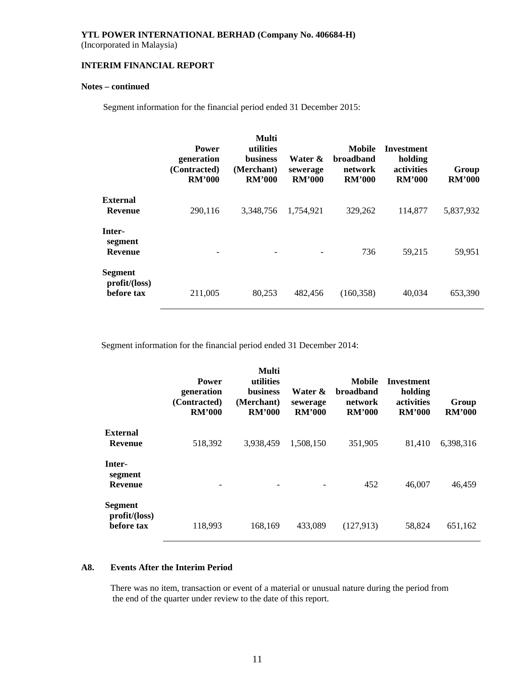(Incorporated in Malaysia)

### **INTERIM FINANCIAL REPORT**

### **Notes – continued**

Segment information for the financial period ended 31 December 2015:

|                                              | <b>Power</b><br>generation<br>(Contracted)<br><b>RM'000</b> | <b>Multi</b><br>utilities<br><b>business</b><br>(Merchant)<br><b>RM'000</b> | Water &<br>sewerage<br><b>RM'000</b> | Mobile<br>broadband<br>network<br><b>RM'000</b> | Investment<br>holding<br>activities<br><b>RM'000</b> | Group<br><b>RM'000</b> |
|----------------------------------------------|-------------------------------------------------------------|-----------------------------------------------------------------------------|--------------------------------------|-------------------------------------------------|------------------------------------------------------|------------------------|
| <b>External</b><br>Revenue                   | 290,116                                                     | 3.348.756                                                                   | 1.754.921                            | 329,262                                         | 114,877                                              | 5,837,932              |
| Inter-<br>segment<br><b>Revenue</b>          |                                                             |                                                                             |                                      | 736                                             | 59,215                                               | 59,951                 |
| <b>Segment</b><br>profit/loss)<br>before tax | 211,005                                                     | 80,253                                                                      | 482,456                              | (160, 358)                                      | 40,034                                               | 653,390                |

Segment information for the financial period ended 31 December 2014:

|                                              | <b>Power</b><br>generation<br>(Contracted)<br><b>RM'000</b> | Multi<br>utilities<br><b>business</b><br>(Merchant)<br><b>RM'000</b> | Water &<br>sewerage<br><b>RM'000</b> | Mobile<br><b>broadband</b><br>network<br><b>RM'000</b> | <b>Investment</b><br>holding<br>activities<br><b>RM'000</b> | Group<br><b>RM'000</b> |
|----------------------------------------------|-------------------------------------------------------------|----------------------------------------------------------------------|--------------------------------------|--------------------------------------------------------|-------------------------------------------------------------|------------------------|
| <b>External</b><br><b>Revenue</b>            | 518,392                                                     | 3.938.459                                                            | 1,508,150                            | 351,905                                                | 81,410                                                      | 6,398,316              |
| Inter-<br>segment<br><b>Revenue</b>          |                                                             |                                                                      |                                      | 452                                                    | 46,007                                                      | 46,459                 |
| <b>Segment</b><br>profit/loss)<br>before tax | 118,993                                                     | 168,169                                                              | 433.089                              | (127, 913)                                             | 58,824                                                      | 651,162                |

### **A8. Events After the Interim Period**

There was no item, transaction or event of a material or unusual nature during the period from the end of the quarter under review to the date of this report.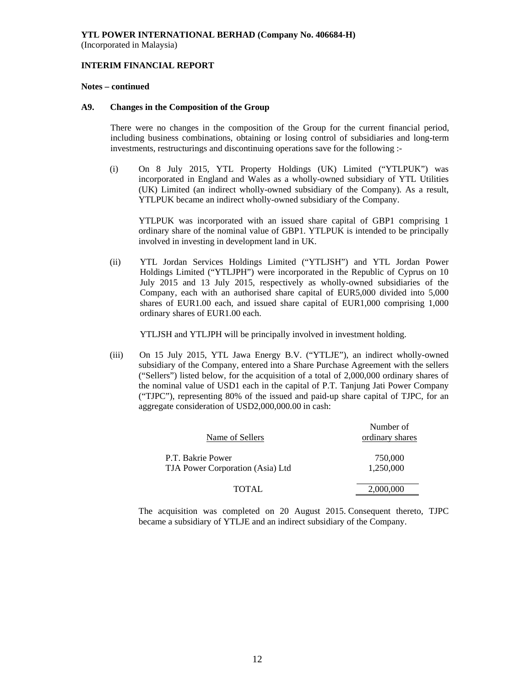#### **INTERIM FINANCIAL REPORT**

#### **Notes – continued**

#### **A9. Changes in the Composition of the Group**

 There were no changes in the composition of the Group for the current financial period, including business combinations, obtaining or losing control of subsidiaries and long-term investments, restructurings and discontinuing operations save for the following :-

(i) On 8 July 2015, YTL Property Holdings (UK) Limited ("YTLPUK") was incorporated in England and Wales as a wholly-owned subsidiary of YTL Utilities (UK) Limited (an indirect wholly-owned subsidiary of the Company). As a result, YTLPUK became an indirect wholly-owned subsidiary of the Company.

YTLPUK was incorporated with an issued share capital of GBP1 comprising 1 ordinary share of the nominal value of GBP1. YTLPUK is intended to be principally involved in investing in development land in UK.

(ii) YTL Jordan Services Holdings Limited ("YTLJSH") and YTL Jordan Power Holdings Limited ("YTLJPH") were incorporated in the Republic of Cyprus on 10 July 2015 and 13 July 2015, respectively as wholly-owned subsidiaries of the Company, each with an authorised share capital of EUR5,000 divided into 5,000 shares of EUR1.00 each, and issued share capital of EUR1,000 comprising 1,000 ordinary shares of EUR1.00 each.

YTLJSH and YTLJPH will be principally involved in investment holding.

(iii) On 15 July 2015, YTL Jawa Energy B.V. ("YTLJE"), an indirect wholly-owned subsidiary of the Company, entered into a Share Purchase Agreement with the sellers ("Sellers") listed below, for the acquisition of a total of 2,000,000 ordinary shares of the nominal value of USD1 each in the capital of P.T. Tanjung Jati Power Company ("TJPC"), representing 80% of the issued and paid-up share capital of TJPC, for an aggregate consideration of USD2,000,000.00 in cash:

| Name of Sellers                                       | Number of<br>ordinary shares |
|-------------------------------------------------------|------------------------------|
| P.T. Bakrie Power<br>TJA Power Corporation (Asia) Ltd | 750,000<br>1.250.000         |
| <b>TOTAL</b>                                          | 2,000,000                    |

The acquisition was completed on 20 August 2015. Consequent thereto, TJPC became a subsidiary of YTLJE and an indirect subsidiary of the Company.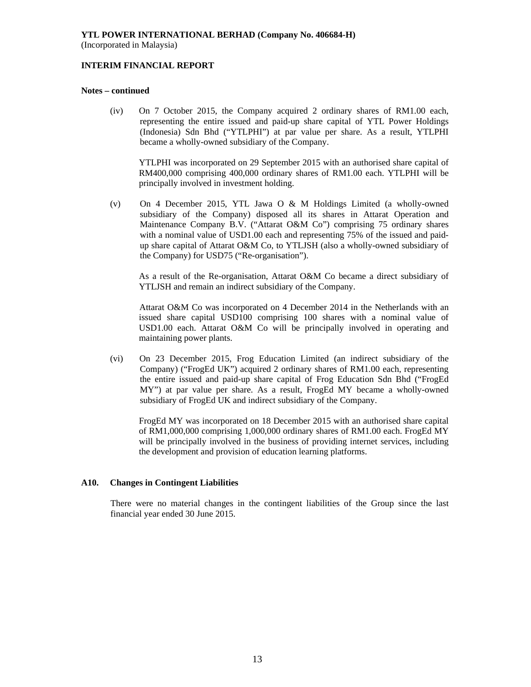### **INTERIM FINANCIAL REPORT**

#### **Notes – continued**

(iv) On 7 October 2015, the Company acquired 2 ordinary shares of RM1.00 each, representing the entire issued and paid-up share capital of YTL Power Holdings (Indonesia) Sdn Bhd ("YTLPHI") at par value per share. As a result, YTLPHI became a wholly-owned subsidiary of the Company.

YTLPHI was incorporated on 29 September 2015 with an authorised share capital of RM400,000 comprising 400,000 ordinary shares of RM1.00 each. YTLPHI will be principally involved in investment holding.

(v) On 4 December 2015, YTL Jawa O & M Holdings Limited (a wholly-owned subsidiary of the Company) disposed all its shares in Attarat Operation and Maintenance Company B.V. ("Attarat O&M Co") comprising 75 ordinary shares with a nominal value of USD1.00 each and representing 75% of the issued and paidup share capital of Attarat O&M Co, to YTLJSH (also a wholly-owned subsidiary of the Company) for USD75 ("Re-organisation").

As a result of the Re-organisation, Attarat O&M Co became a direct subsidiary of YTLJSH and remain an indirect subsidiary of the Company.

Attarat O&M Co was incorporated on 4 December 2014 in the Netherlands with an issued share capital USD100 comprising 100 shares with a nominal value of USD1.00 each. Attarat O&M Co will be principally involved in operating and maintaining power plants.

(vi) On 23 December 2015, Frog Education Limited (an indirect subsidiary of the Company) ("FrogEd UK") acquired 2 ordinary shares of RM1.00 each, representing the entire issued and paid-up share capital of Frog Education Sdn Bhd ("FrogEd MY") at par value per share. As a result, FrogEd MY became a wholly-owned subsidiary of FrogEd UK and indirect subsidiary of the Company.

FrogEd MY was incorporated on 18 December 2015 with an authorised share capital of RM1,000,000 comprising 1,000,000 ordinary shares of RM1.00 each. FrogEd MY will be principally involved in the business of providing internet services, including the development and provision of education learning platforms.

### **A10. Changes in Contingent Liabilities**

There were no material changes in the contingent liabilities of the Group since the last financial year ended 30 June 2015.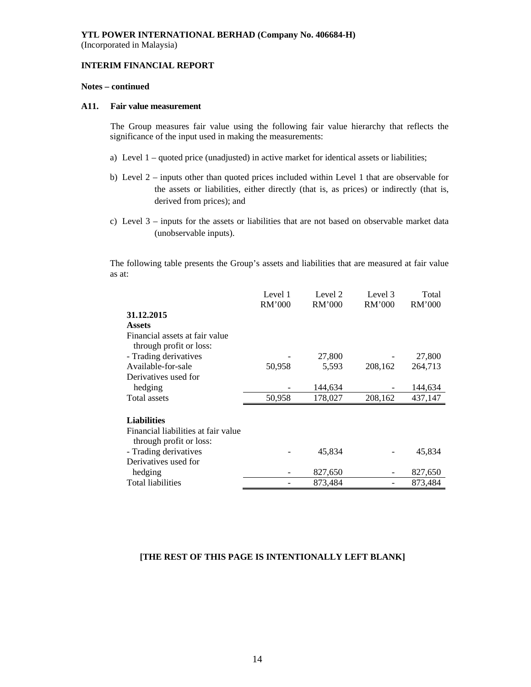#### **INTERIM FINANCIAL REPORT**

### **Notes – continued**

#### **A11. Fair value measurement**

 The Group measures fair value using the following fair value hierarchy that reflects the significance of the input used in making the measurements:

- a) Level 1 quoted price (unadjusted) in active market for identical assets or liabilities;
- b) Level 2 inputs other than quoted prices included within Level 1 that are observable for the assets or liabilities, either directly (that is, as prices) or indirectly (that is, derived from prices); and
- c) Level 3 inputs for the assets or liabilities that are not based on observable market data (unobservable inputs).

The following table presents the Group's assets and liabilities that are measured at fair value as at:

|                                     | Level 1<br>RM'000 | Level 2<br>RM'000 | Level 3<br>RM'000 | Total<br>RM'000 |
|-------------------------------------|-------------------|-------------------|-------------------|-----------------|
| 31.12.2015                          |                   |                   |                   |                 |
| <b>Assets</b>                       |                   |                   |                   |                 |
| Financial assets at fair value      |                   |                   |                   |                 |
| through profit or loss:             |                   |                   |                   |                 |
| - Trading derivatives               |                   | 27,800            |                   | 27,800          |
| Available-for-sale                  | 50,958            | 5,593             | 208,162           | 264,713         |
| Derivatives used for                |                   |                   |                   |                 |
| hedging                             |                   | 144,634           |                   | 144,634         |
| <b>Total assets</b>                 | 50,958            | 178,027           | 208,162           | 437,147         |
|                                     |                   |                   |                   |                 |
| <b>Liabilities</b>                  |                   |                   |                   |                 |
| Financial liabilities at fair value |                   |                   |                   |                 |
| through profit or loss:             |                   |                   |                   |                 |
| - Trading derivatives               |                   | 45,834            |                   | 45,834          |
| Derivatives used for                |                   |                   |                   |                 |
| hedging                             |                   | 827,650           |                   | 827,650         |
| <b>Total liabilities</b>            |                   | 873,484           |                   | 873,484         |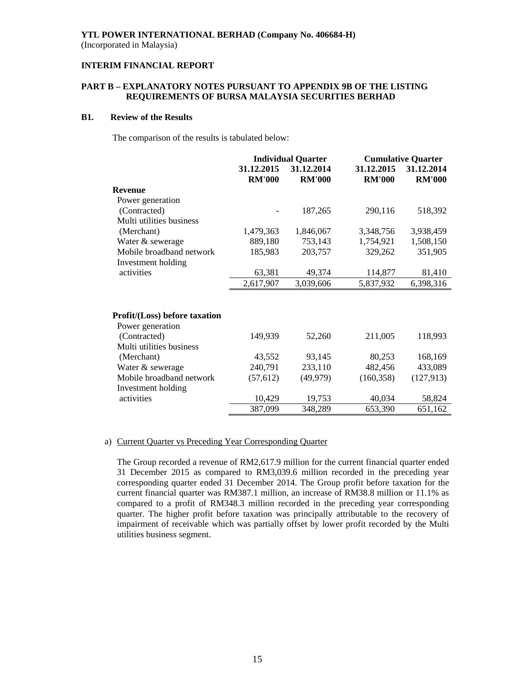### **INTERIM FINANCIAL REPORT**

### **PART B – EXPLANATORY NOTES PURSUANT TO APPENDIX 9B OF THE LISTING REQUIREMENTS OF BURSA MALAYSIA SECURITIES BERHAD**

#### **B1. Review of the Results**

The comparison of the results is tabulated below:

|                               | <b>Individual Quarter</b> |               | <b>Cumulative Quarter</b> |               |  |
|-------------------------------|---------------------------|---------------|---------------------------|---------------|--|
|                               | 31.12.2015                | 31.12.2014    | 31.12.2015                | 31.12.2014    |  |
|                               | <b>RM'000</b>             | <b>RM'000</b> | <b>RM'000</b>             | <b>RM'000</b> |  |
| <b>Revenue</b>                |                           |               |                           |               |  |
| Power generation              |                           |               |                           |               |  |
| (Contracted)                  |                           | 187,265       | 290,116                   | 518,392       |  |
| Multi utilities business      |                           |               |                           |               |  |
| (Merchant)                    | 1,479,363                 | 1,846,067     | 3,348,756                 | 3,938,459     |  |
| Water & sewerage              | 889,180                   | 753,143       | 1,754,921                 | 1,508,150     |  |
| Mobile broadband network      | 185,983                   | 203,757       | 329,262                   | 351,905       |  |
| Investment holding            |                           |               |                           |               |  |
| activities                    | 63,381                    | 49,374        | 114,877                   | 81,410        |  |
|                               | 2,617,907                 | 3,039,606     | 5,837,932                 | 6,398,316     |  |
|                               |                           |               |                           |               |  |
| Profit/(Loss) before taxation |                           |               |                           |               |  |
| Power generation              |                           |               |                           |               |  |
| (Contracted)                  | 149,939                   | 52,260        | 211,005                   | 118,993       |  |
| Multi utilities business      |                           |               |                           |               |  |
| (Merchant)                    | 43,552                    | 93,145        | 80,253                    | 168,169       |  |
| Water & sewerage              | 240,791                   | 233,110       | 482,456                   | 433,089       |  |
| Mobile broadband network      | (57, 612)                 | (49, 979)     | (160, 358)                | (127, 913)    |  |
| Investment holding            |                           |               |                           |               |  |
| activities                    | 10,429                    | 19,753        | 40,034                    | 58,824        |  |
|                               | 387,099                   | 348,289       | 653,390                   | 651,162       |  |

### a) Current Quarter vs Preceding Year Corresponding Quarter

The Group recorded a revenue of RM2,617.9 million for the current financial quarter ended 31 December 2015 as compared to RM3,039.6 million recorded in the preceding year corresponding quarter ended 31 December 2014. The Group profit before taxation for the current financial quarter was RM387.1 million, an increase of RM38.8 million or 11.1% as compared to a profit of RM348.3 million recorded in the preceding year corresponding quarter. The higher profit before taxation was principally attributable to the recovery of impairment of receivable which was partially offset by lower profit recorded by the Multi utilities business segment.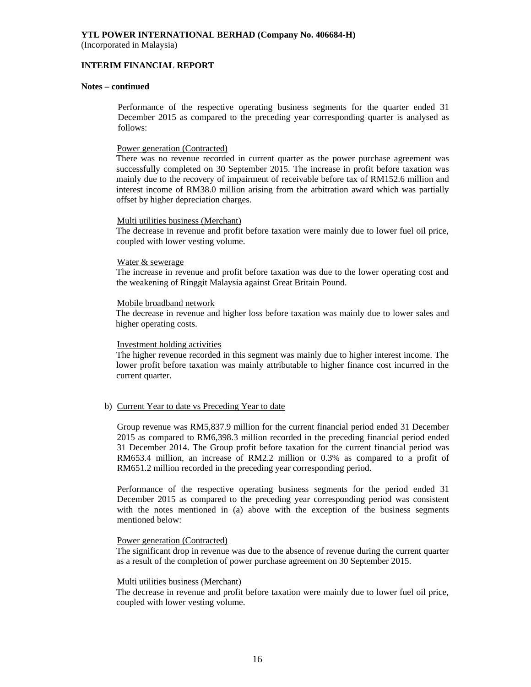(Incorporated in Malaysia)

#### **INTERIM FINANCIAL REPORT**

#### **Notes – continued**

 Performance of the respective operating business segments for the quarter ended 31 December 2015 as compared to the preceding year corresponding quarter is analysed as follows:

#### Power generation (Contracted)

There was no revenue recorded in current quarter as the power purchase agreement was successfully completed on 30 September 2015. The increase in profit before taxation was mainly due to the recovery of impairment of receivable before tax of RM152.6 million and interest income of RM38.0 million arising from the arbitration award which was partially offset by higher depreciation charges.

#### Multi utilities business (Merchant)

The decrease in revenue and profit before taxation were mainly due to lower fuel oil price, coupled with lower vesting volume.

#### Water & sewerage

The increase in revenue and profit before taxation was due to the lower operating cost and the weakening of Ringgit Malaysia against Great Britain Pound.

#### Mobile broadband network

The decrease in revenue and higher loss before taxation was mainly due to lower sales and higher operating costs.

#### Investment holding activities

The higher revenue recorded in this segment was mainly due to higher interest income. The lower profit before taxation was mainly attributable to higher finance cost incurred in the current quarter.

#### b) Current Year to date vs Preceding Year to date

Group revenue was RM5,837.9 million for the current financial period ended 31 December 2015 as compared to RM6,398.3 million recorded in the preceding financial period ended 31 December 2014. The Group profit before taxation for the current financial period was RM653.4 million, an increase of RM2.2 million or 0.3% as compared to a profit of RM651.2 million recorded in the preceding year corresponding period.

Performance of the respective operating business segments for the period ended 31 December 2015 as compared to the preceding year corresponding period was consistent with the notes mentioned in (a) above with the exception of the business segments mentioned below:

#### Power generation (Contracted)

The significant drop in revenue was due to the absence of revenue during the current quarter as a result of the completion of power purchase agreement on 30 September 2015.

#### Multi utilities business (Merchant)

The decrease in revenue and profit before taxation were mainly due to lower fuel oil price, coupled with lower vesting volume.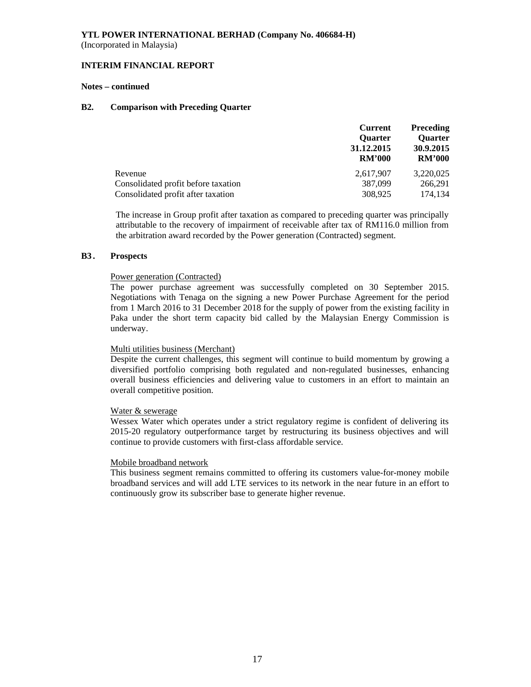#### **INTERIM FINANCIAL REPORT**

#### **Notes – continued**

#### **B2. Comparison with Preceding Quarter**

|                                     | <b>Preceding</b><br><b>Current</b> |                |
|-------------------------------------|------------------------------------|----------------|
|                                     | Quarter                            | <b>Ouarter</b> |
|                                     | 31.12.2015                         | 30.9.2015      |
|                                     | <b>RM'000</b>                      | <b>RM'000</b>  |
| Revenue                             | 2.617.907                          | 3.220.025      |
| Consolidated profit before taxation | 387,099                            | 266.291        |
| Consolidated profit after taxation  | 308,925                            | 174.134        |

The increase in Group profit after taxation as compared to preceding quarter was principally attributable to the recovery of impairment of receivable after tax of RM116.0 million from the arbitration award recorded by the Power generation (Contracted) segment.

#### **B3 . Prospects**

#### Power generation (Contracted)

The power purchase agreement was successfully completed on 30 September 2015. Negotiations with Tenaga on the signing a new Power Purchase Agreement for the period from 1 March 2016 to 31 December 2018 for the supply of power from the existing facility in Paka under the short term capacity bid called by the Malaysian Energy Commission is underway.

#### Multi utilities business (Merchant)

Despite the current challenges, this segment will continue to build momentum by growing a diversified portfolio comprising both regulated and non-regulated businesses, enhancing overall business efficiencies and delivering value to customers in an effort to maintain an overall competitive position.

#### Water & sewerage

Wessex Water which operates under a strict regulatory regime is confident of delivering its 2015-20 regulatory outperformance target by restructuring its business objectives and will continue to provide customers with first-class affordable service.

### Mobile broadband network

This business segment remains committed to offering its customers value-for-money mobile broadband services and will add LTE services to its network in the near future in an effort to continuously grow its subscriber base to generate higher revenue.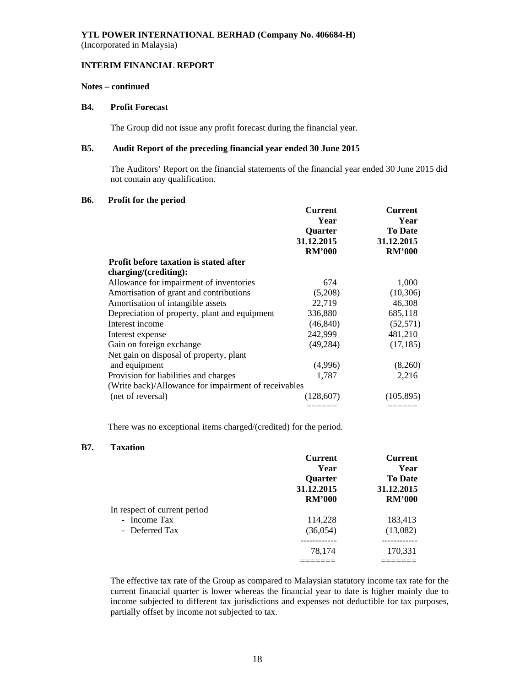(Incorporated in Malaysia)

#### **INTERIM FINANCIAL REPORT**

### **Notes – continued**

### **B4. Profit Forecast**

The Group did not issue any profit forecast during the financial year.

### **B5. Audit Report of the preceding financial year ended 30 June 2015**

 The Auditors' Report on the financial statements of the financial year ended 30 June 2015 did not contain any qualification.

### **B6. Profit for the period**

|                                                      | <b>Current</b>  | <b>Current</b>         |  |
|------------------------------------------------------|-----------------|------------------------|--|
|                                                      | Year<br>Quarter | Year<br><b>To Date</b> |  |
|                                                      | 31.12.2015      | 31.12.2015             |  |
|                                                      | <b>RM'000</b>   | <b>RM'000</b>          |  |
| <b>Profit before taxation is stated after</b>        |                 |                        |  |
| charging/(crediting):                                |                 |                        |  |
| Allowance for impairment of inventories              | 674             | 1,000                  |  |
| Amortisation of grant and contributions              | (5,208)         | (10, 306)              |  |
| Amortisation of intangible assets                    | 22,719          | 46,308                 |  |
| Depreciation of property, plant and equipment        | 336,880         | 685,118                |  |
| Interest income                                      | (46, 840)       | (52, 571)              |  |
| Interest expense                                     | 242,999         | 481,210                |  |
| Gain on foreign exchange                             | (49, 284)       | (17, 185)              |  |
| Net gain on disposal of property, plant              |                 |                        |  |
| and equipment                                        | (4,996)         | (8,260)                |  |
| Provision for liabilities and charges                | 1,787           | 2,216                  |  |
| (Write back)/Allowance for impairment of receivables |                 |                        |  |
| (net of reversal)                                    | (128,607)       | (105, 895)             |  |
|                                                      |                 |                        |  |

There was no exceptional items charged/(credited) for the period.

### **B7. Taxation**

|                              | <b>Current</b> | Current        |
|------------------------------|----------------|----------------|
|                              | Year           | Year           |
|                              | <b>Ouarter</b> | <b>To Date</b> |
|                              | 31.12.2015     | 31.12.2015     |
|                              | <b>RM'000</b>  | <b>RM'000</b>  |
| In respect of current period |                |                |
| - Income Tax                 | 114,228        | 183,413        |
| - Deferred Tax               | (36,054)       | (13,082)       |
|                              |                | --------       |
|                              | 78,174         | 170,331        |
|                              |                |                |

The effective tax rate of the Group as compared to Malaysian statutory income tax rate for the current financial quarter is lower whereas the financial year to date is higher mainly due to income subjected to different tax jurisdictions and expenses not deductible for tax purposes, partially offset by income not subjected to tax.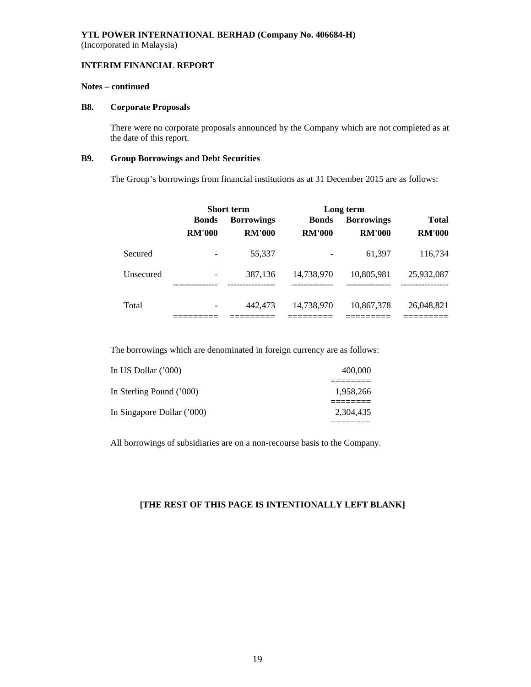### **INTERIM FINANCIAL REPORT**

### **Notes – continued**

#### **B8. Corporate Proposals**

There were no corporate proposals announced by the Company which are not completed as at the date of this report.

### **B9. Group Borrowings and Debt Securities**

The Group's borrowings from financial institutions as at 31 December 2015 are as follows:

|           | <b>Short term</b> |                          |                            | Long term         |                            |  |
|-----------|-------------------|--------------------------|----------------------------|-------------------|----------------------------|--|
|           | <b>Bonds</b>      | <b>Borrowings</b>        | <b>Bonds</b>               | <b>Borrowings</b> | <b>Total</b>               |  |
|           | <b>RM'000</b>     | <b>RM'000</b>            | <b>RM'000</b>              | <b>RM'000</b>     | <b>RM'000</b>              |  |
| Secured   |                   | 55,337                   |                            | 61,397            | 116,734                    |  |
| Unsecured | ------------      | 387,136<br>------------- | 14,738,970<br>------------ | 10,805,981<br>    | 25,932,087<br>------------ |  |
| Total     |                   | 442,473                  | 14,738,970                 | 10,867,378        | 26,048,821                 |  |

The borrowings which are denominated in foreign currency are as follows:

| In US Dollar $(000)$       | 400,000   |
|----------------------------|-----------|
| In Sterling Pound ('000)   | 1.958.266 |
| In Singapore Dollar ('000) | 2.304.435 |

All borrowings of subsidiaries are on a non-recourse basis to the Company.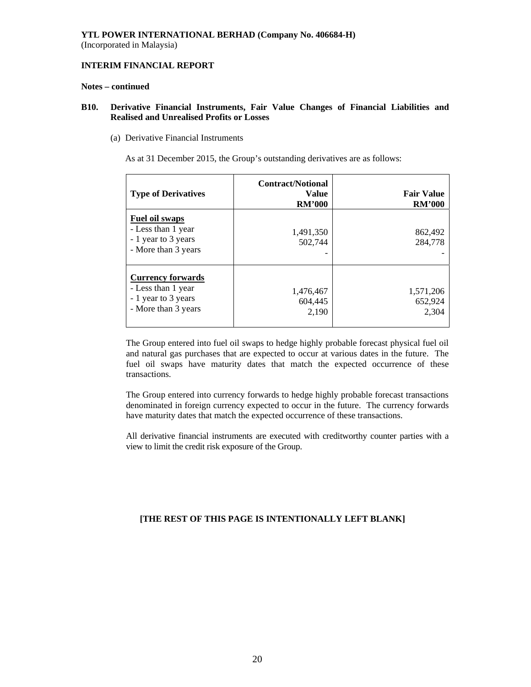### **INTERIM FINANCIAL REPORT**

#### **Notes – continued**

### **B10. Derivative Financial Instruments, Fair Value Changes of Financial Liabilities and Realised and Unrealised Profits or Losses**

(a) Derivative Financial Instruments

As at 31 December 2015, the Group's outstanding derivatives are as follows:

| <b>Type of Derivatives</b>                                                                   | <b>Contract/Notional</b><br><b>Value</b><br><b>RM'000</b> | <b>Fair Value</b><br><b>RM'000</b> |
|----------------------------------------------------------------------------------------------|-----------------------------------------------------------|------------------------------------|
| <b>Fuel oil swaps</b><br>- Less than 1 year<br>- 1 year to 3 years<br>- More than 3 years    | 1,491,350<br>502,744                                      | 862,492<br>284,778                 |
| <b>Currency forwards</b><br>- Less than 1 year<br>- 1 year to 3 years<br>- More than 3 years | 1,476,467<br>604,445<br>2,190                             | 1,571,206<br>652,924<br>2,304      |

The Group entered into fuel oil swaps to hedge highly probable forecast physical fuel oil and natural gas purchases that are expected to occur at various dates in the future. The fuel oil swaps have maturity dates that match the expected occurrence of these transactions.

The Group entered into currency forwards to hedge highly probable forecast transactions denominated in foreign currency expected to occur in the future. The currency forwards have maturity dates that match the expected occurrence of these transactions.

All derivative financial instruments are executed with creditworthy counter parties with a view to limit the credit risk exposure of the Group.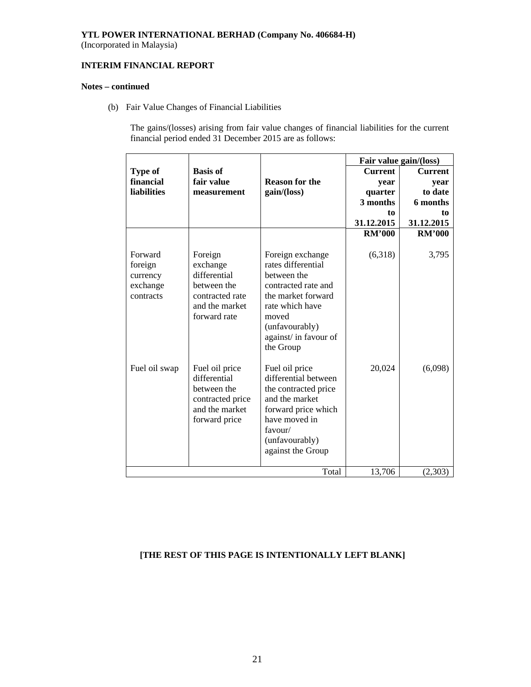(Incorporated in Malaysia)

### **INTERIM FINANCIAL REPORT**

### **Notes – continued**

(b) Fair Value Changes of Financial Liabilities

The gains/(losses) arising from fair value changes of financial liabilities for the current financial period ended 31 December 2015 are as follows:

|                                                         |                                                                                                         |                                                                                                                                                                                        | Fair value gain/(loss) |                |
|---------------------------------------------------------|---------------------------------------------------------------------------------------------------------|----------------------------------------------------------------------------------------------------------------------------------------------------------------------------------------|------------------------|----------------|
| <b>Type of</b>                                          | <b>Basis of</b>                                                                                         |                                                                                                                                                                                        | <b>Current</b>         | <b>Current</b> |
| financial                                               | fair value                                                                                              | <b>Reason for the</b>                                                                                                                                                                  | year                   | year           |
| <b>liabilities</b>                                      | measurement                                                                                             | gain/(loss)                                                                                                                                                                            | quarter                | to date        |
|                                                         |                                                                                                         |                                                                                                                                                                                        | 3 months               | 6 months       |
|                                                         |                                                                                                         |                                                                                                                                                                                        | to                     | to             |
|                                                         |                                                                                                         |                                                                                                                                                                                        | 31.12.2015             | 31.12.2015     |
|                                                         |                                                                                                         |                                                                                                                                                                                        | <b>RM'000</b>          | <b>RM'000</b>  |
| Forward<br>foreign<br>currency<br>exchange<br>contracts | Foreign<br>exchange<br>differential<br>between the<br>contracted rate<br>and the market<br>forward rate | Foreign exchange<br>rates differential<br>between the<br>contracted rate and<br>the market forward<br>rate which have<br>moved<br>(unfavourably)<br>against/ in favour of<br>the Group | (6,318)                | 3,795          |
| Fuel oil swap                                           | Fuel oil price<br>differential<br>between the<br>contracted price<br>and the market<br>forward price    | Fuel oil price<br>differential between<br>the contracted price<br>and the market<br>forward price which<br>have moved in<br>favour/<br>(unfavourably)<br>against the Group             | 20,024                 | (6,098)        |
|                                                         |                                                                                                         | Total                                                                                                                                                                                  | 13,706                 | (2,303)        |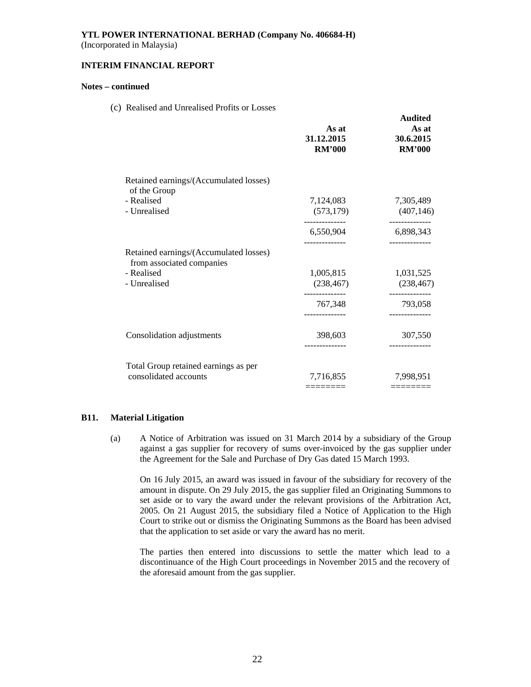(Incorporated in Malaysia)

#### **INTERIM FINANCIAL REPORT**

#### **Notes – continued**

(c) Realised and Unrealised Profits or Losses

|                                                                     | As at<br>31.12.2015<br><b>RM'000</b> | <b>Audited</b><br>As at<br>30.6.2015<br><b>RM'000</b> |
|---------------------------------------------------------------------|--------------------------------------|-------------------------------------------------------|
| Retained earnings/(Accumulated losses)<br>of the Group              |                                      |                                                       |
| - Realised<br>- Unrealised                                          | 7,124,083<br>(573, 179)              | 7,305,489<br>(407, 146)                               |
|                                                                     | 6,550,904                            | 6,898,343                                             |
| Retained earnings/(Accumulated losses)<br>from associated companies |                                      |                                                       |
| - Realised<br>- Unrealised                                          | 1,005,815<br>(238, 467)              | 1,031,525<br>(238, 467)                               |
|                                                                     | 767,348                              | 793,058                                               |
| Consolidation adjustments                                           | 398,603                              | 307,550                                               |
| Total Group retained earnings as per                                |                                      |                                                       |
| consolidated accounts                                               | 7,716,855                            | 7,998,951                                             |
|                                                                     | =======                              | ========                                              |

### **B11. Material Litigation**

(a) A Notice of Arbitration was issued on 31 March 2014 by a subsidiary of the Group against a gas supplier for recovery of sums over-invoiced by the gas supplier under the Agreement for the Sale and Purchase of Dry Gas dated 15 March 1993.

On 16 July 2015, an award was issued in favour of the subsidiary for recovery of the amount in dispute. On 29 July 2015, the gas supplier filed an Originating Summons to set aside or to vary the award under the relevant provisions of the Arbitration Act, 2005. On 21 August 2015, the subsidiary filed a Notice of Application to the High Court to strike out or dismiss the Originating Summons as the Board has been advised that the application to set aside or vary the award has no merit.

The parties then entered into discussions to settle the matter which lead to a discontinuance of the High Court proceedings in November 2015 and the recovery of the aforesaid amount from the gas supplier.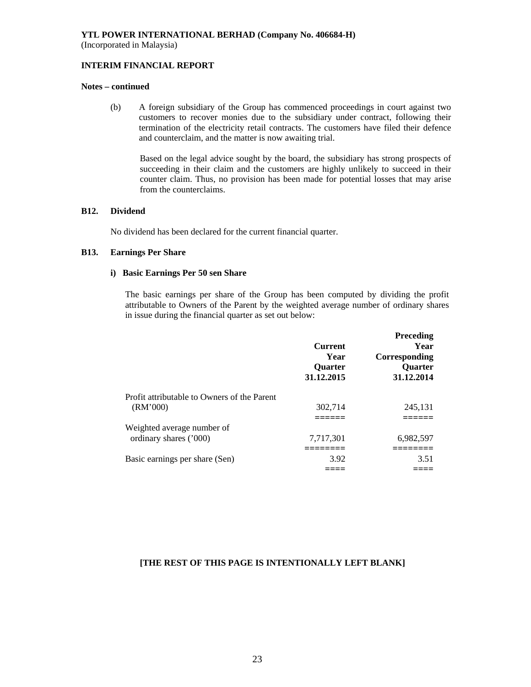#### **INTERIM FINANCIAL REPORT**

### **Notes – continued**

(b) A foreign subsidiary of the Group has commenced proceedings in court against two customers to recover monies due to the subsidiary under contract, following their termination of the electricity retail contracts. The customers have filed their defence and counterclaim, and the matter is now awaiting trial.

Based on the legal advice sought by the board, the subsidiary has strong prospects of succeeding in their claim and the customers are highly unlikely to succeed in their counter claim. Thus, no provision has been made for potential losses that may arise from the counterclaims.

### **B12. Dividend**

No dividend has been declared for the current financial quarter.

### **B13. Earnings Per Share**

#### **i) Basic Earnings Per 50 sen Share**

The basic earnings per share of the Group has been computed by dividing the profit attributable to Owners of the Parent by the weighted average number of ordinary shares in issue during the financial quarter as set out below:

|                                                         | <b>Current</b><br>Year<br>Quarter<br>31.12.2015 | Preceding<br>Year<br>Corresponding<br>Quarter<br>31.12.2014 |
|---------------------------------------------------------|-------------------------------------------------|-------------------------------------------------------------|
| Profit attributable to Owners of the Parent<br>(RM'000) | 302,714                                         | 245,131                                                     |
| Weighted average number of<br>ordinary shares ('000)    | 7,717,301                                       | 6,982,597                                                   |
|                                                         |                                                 |                                                             |
| Basic earnings per share (Sen)                          | 3.92                                            | 3.51                                                        |